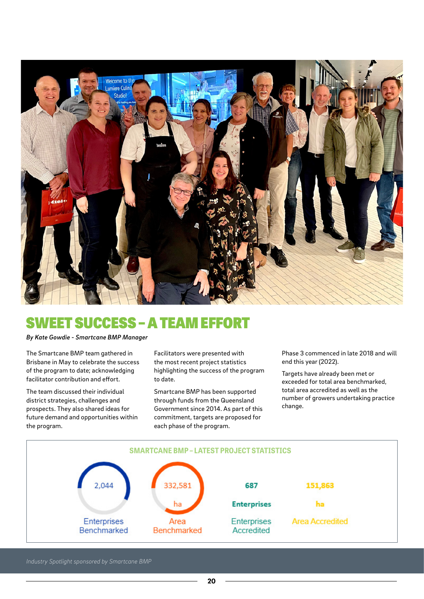

## SWEET SUCCESS – A TEAM EFFORT

## *By Kate Gowdie - Smartcane BMP Manager*

The Smartcane BMP team gathered in Brisbane in May to celebrate the success of the program to date; acknowledging facilitator contribution and effort.

The team discussed their individual district strategies, challenges and prospects. They also shared ideas for future demand and opportunities within the program.

Facilitators were presented with the most recent project statistics highlighting the success of the program to date.

Smartcane BMP has been supported through funds from the Queensland Government since 2014. As part of this commitment, targets are proposed for each phase of the program.

Phase 3 commenced in late 2018 and will end this year (2022).

Targets have already been met or exceeded for total area benchmarked, total area accredited as well as the number of growers undertaking practice change.



*Industry Spotlight sponsored by Smartcane BMP*